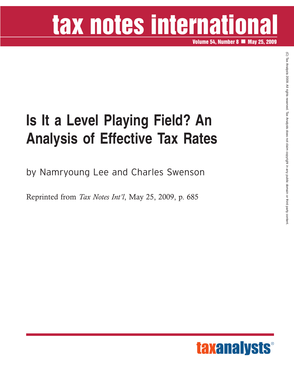## tax notes international

**Volume 54, Number 8 May 25, 2009**

### **Is It a Level Playing Field? An Analysis of Effective Tax Rates**

by Namryoung Lee and Charles Swenson

Reprinted from *Tax Notes Int'l*, May 25, 2009, p. 685

 $\widehat{\Omega}$  TaxAnalysts

2009.

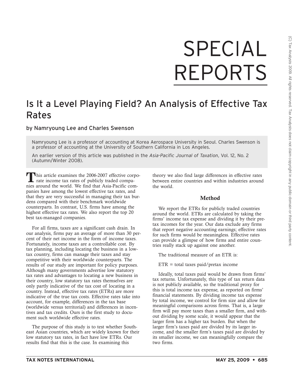# SPECIAL **REPORTS**

### Is It a Level Playing Field? An Analysis of Effective Tax Rates

by Namryoung Lee and Charles Swenson

Namryoung Lee is a professor of accounting at Korea Aerospace University in Seoul. Charles Swenson is a professor of accounting at the University of Southern California in Los Angeles.

An earlier version of this article was published in the *Asia-Pacific Journal of Taxation*, Vol. 12, No. 2 (Autumn/Winter 2008).

This article examines the 2006-2007 effective corporate income tax rates of publicly traded companies around the world. We find that Asia-Pacific companies have among the lowest effective tax rates, and that they are very successful in managing their tax burdens compared with their benchmark worldwide counterparts. In contrast, U.S. firms have among the highest effective tax rates. We also report the top 20 best tax-managed companies.

For all firms, taxes are a significant cash drain. In our analysis, firms pay an average of more than 30 percent of their net income in the form of income taxes. Fortunately, income taxes are a controllable cost. By tax planning, including locating the business in a lowtax country, firms can manage their taxes and stay competitive with their worldwide counterparts. The results of our study are important for policy purposes. Although many governments advertise low statutory tax rates and advantages to locating a new business in their country, low statutory tax rates themselves are only partly indicative of the tax cost of locating in a country. Instead, effective tax rates (ETRs) are more indicative of the true tax costs. Effective rates take into account, for example, differences in the tax base (worldwide versus territorial) and differences in incentives and tax credits. Ours is the first study to document such worldwide effective rates.

The purpose of this study is to test whether Southeast Asian countries, which are widely known for their low statutory tax rates, in fact have low ETRs. Our results find that this is the case. In examining this

theory we also find large differences in effective rates between entire countries and within industries around the world.

#### **Method**

We report the ETRs for publicly traded countries around the world. ETRs are calculated by taking the firms' income tax expense and dividing it by their pretax incomes for the year. Our data exclude any firms that report negative accounting earnings; effective rates for such firms would be meaningless. Effective rates can provide a glimpse of how firms and entire countries really stack up against one another.

The traditional measure of an ETR is:

 $ETR = total taxes paid/pretax income$ 

Ideally, total taxes paid would be drawn from firms' tax returns. Unfortunately, this type of tax return data is not publicly available, so the traditional proxy for this is total income tax expense, as reported on firms' financial statements. By dividing income tax expense by total income, we control for firm size and allow for meaningful comparisons across firms. That is, a large firm will pay more taxes than a smaller firm, and without dividing by some scale, it would appear that the larger firm has a higher tax burden. But when the larger firm's taxes paid are divided by its larger income, and the smaller firm's taxes paid are divided by its smaller income, we can meaningfully compare the two firms.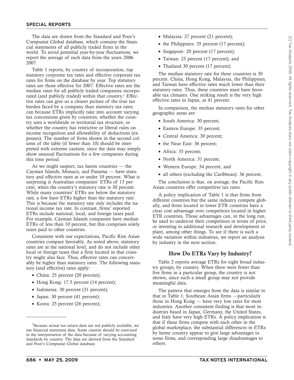The data are drawn from the Standard and Poor's Compustat Global database, which contains the financial statements of all publicly traded firms in the world. To avoid potential year-by-year fluctuations, we report the average of such data from the years 2006- 2007.

Table 1 reports, by country of incorporation, top statutory corporate tax rates and effective corporate tax rates for firms on the database by year. Top statutory rates are those effective for 2007. Effective rates are the median rates for all publicly traded companies incorporated (and publicly traded) within that country.<sup>1</sup> Effective rates can give us a clearer picture of the true tax burden faced by a company than statutory tax rates can because ETRs implicitly take into account varying tax concessions given by countries, whether the country uses a worldwide or territorial tax structure, or whether the country has restrictive or liberal rules on income recognition and allowability of deductions (expenses). The number of firms shown in the second column of the table (if fewer than 10) should be interpreted with extreme caution, since the data may simply show unusual fluctuations for a few companies during this time period.

As we might suspect, tax haven countries — the Cayman Islands, Monaco, and Panama — have statutory and effective rates at or under 10 percent. What is surprising is Australian companies' ETRs of 13 percent, when the country's statutory rate is 30 percent. While many countries' ETRs are below the statutory rate, a few have ETRs higher than the statutory rate. This is because the statutory rate only includes the national income tax rate. In contrast, firms' reported ETRs include national, local, and foreign taxes paid. For example, Cayman Islands companies have median ETRs of less than 10 percent, but this comprises solely taxes paid to other countries.

Consistent with our expectations, Pacific Rim Asian countries compare favorably. As noted above, statutory rates are at the national level, and do not include other local or foreign taxes that a firm located in that country might also face. Thus, effective rates can conceivably be higher than statutory rates. The following statutory (and effective) rates apply:

- China: 25 percent (20 percent);
- Hong Kong: 17.5 percent (14 percent);
- Indonesia: 30 percent (31 percent);
- Japan: 30 percent (41 percent);
- Korea: 25 percent (26 percent);
- Malaysia: 27 percent (21 percent);
- the Philippines: 35 percent (17 percent);
- Singapore: 20 percent (17 percent);
- Taiwan: 25 percent (17 percent); and
- Thailand 30 percent (17 percent).

The median statutory rate for these countries is 30 percent. China, Hong Kong, Malaysia, the Philippines, and Taiwan have effective rates much lower than their statutory rates. Thus, these countries must have favorable tax climates. One striking result is the very high effective rates in Japan, at 41 percent.

In comparison, the median statutory rates for other geographic areas are:

- South America: 30 percent;
- Eastern Europe: 35 percent;
- Central America: 30 percent;
- the Near East: 36 percent;
- Africa: 35 percent;
- North America: 31 percent;
- Western Europe: 34 percent; and
- all others (excluding the Caribbean): 36 percent.

The conclusion is that, on average, the Pacific Rim Asian countries offer competitive tax rates.

A policy implication of Table 1 is that firms from different countries but the same industry compete globally, and firms located in lower ETR countries have a clear cost advantage over competitors located in higher ETR countries. Those advantages can, in the long run, be used to undercut their competitors in terms of price, or investing in additional research and development or plant, among other things. To see if there is such a wide variation within industries, we report an analysis by industry in the next section.

#### **How Do ETRs Vary by Industry?**

Table 2 reports average ETRs for eight broad industry groups, by country. When there were fewer than five firms in a particular group, the country is not shown, since such a small group may not provide meaningful data.

The pattern that emerges from the data is similar to that in Table 1; Southeast Asian firms —particularly those in Hong Kong — have very low rates for most industries. Another consistent finding is that most industries based in Japan, Germany, the United States, and Italy have very high ETRs. A policy implication is that if these firms compete with each other in the global marketplace, the substantial differences in ETRs by home country appear to give large advantages to some firms, and corresponding large disadvantages to others.

<sup>&</sup>lt;sup>1</sup>Because actual tax return data are not publicly available, we use financial statement data. Some caution should be exercised in the interpretation of the data because of varying accounting standards by country. The data are derived from the Standard and Poor's Compustat Global database.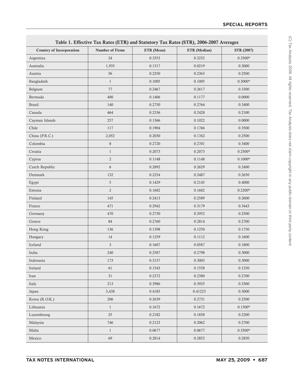|                                 | Table 1. Effective Tax Rates (ETR) and Statutory Tax Rates (STR), 2006-2007 Averages |            |              |                   |
|---------------------------------|--------------------------------------------------------------------------------------|------------|--------------|-------------------|
| <b>Country of Incorporation</b> | <b>Number of Firms</b>                                                               | ETR (Mean) | ETR (Median) | <b>STR (2007)</b> |
| Argentina                       | 24                                                                                   | 0.3353     | 0.3252       | $0.3500*$         |
| Australia                       | 1,935                                                                                | 0.1317     | 0.0219       | 0.3000            |
| Austria                         | 56                                                                                   | 0.2250     | 0.2363       | 0.2500            |
| Bangladesh                      | $\mathbf{1}$                                                                         | 0.1005     | 0.1005       | $0.3000*$         |
| Belgium                         | 77                                                                                   | 0.2467     | 0.2617       | 0.3300            |
| Bermuda                         | 400                                                                                  | 0.1406     | 0.1177       | 0.0000            |
| <b>Brazil</b>                   | 140                                                                                  | 0.2750     | 0.2764       | 0.3400            |
| Canada                          | 464                                                                                  | 0.2336     | 0.2428       | 0.2100            |
| Cayman Islands                  | 257                                                                                  | 0.1366     | 0.1022       | 0.0000            |
| Chile                           | 117                                                                                  | 0.1904     | 0.1766       | 0.3500            |
| China (P.R.C.)                  | 2,052                                                                                | 0.2030     | 0.1762       | 0.2500            |
| Colombia                        | $\,8\,$                                                                              | 0.2720     | 0.2701       | 0.3400            |
| Croatia                         | $\mathbf{1}$                                                                         | 0.2073     | 0.2073       | $0.2500*$         |
| Cyprus                          | $\overline{2}$                                                                       | 0.1148     | 0.1148       | $0.1000*$         |
| Czech Republic                  | 6                                                                                    | 0.2892     | 0.2629       | 0.2400            |
| Denmark                         | 132                                                                                  | 0.2254     | 0.2487       | 0.2650            |
| Egypt                           | $\sqrt{5}$                                                                           | 0.1429     | 0.2145       | 0.4000            |
| Estonia                         | $\overline{2}$                                                                       | 0.1682     | 0.1682       | $0.2200*$         |
| Finland                         | 145                                                                                  | 0.2413     | 0.2589       | 0.2600            |
| France                          | 471                                                                                  | 0.2942     | 0.3179       | 0.3443            |
| Germany                         | 470                                                                                  | 0.2730     | 0.2952       | 0.2500            |
| Greece                          | 84                                                                                   | 0.2760     | 0.2814       | 0.2700            |
| Hong Kong                       | 136                                                                                  | 0.1398     | 0.1250       | 0.1750            |
| Hungary                         | 14                                                                                   | 0.1259     | 0.1112       | 0.1600            |
| Iceland                         | 3                                                                                    | 0.1607     | 0.0587       | 0.1800            |
| India                           | 240                                                                                  | 0.2587     | 0.2798       | 0.3000            |
| Indonesia                       | 173                                                                                  | 0.3157     | 0.3003       | 0.3000            |
| Ireland                         | 61                                                                                   | 0.1543     | 0.1558       | 0.1250            |
| Iran                            | 31                                                                                   | 0.2372     | 0.2380       | 0.2700            |
| Italy                           | 213                                                                                  | 0.3986     | 0.3925       | 0.3300            |
| Japan                           | 3,438                                                                                | 0.4185     | 0.41223      | 0.3000            |
| Korea (R.O.K.)                  | 206                                                                                  | 0.2639     | 0.2731       | 0.2500            |
| Lithuania                       | $\mathbf{1}$                                                                         | 0.1672     | 0.1672       | $0.1500*$         |
| Luxembourg                      | $25\,$                                                                               | 0.2182     | 0.1858       | 0.2200            |
| Malaysia                        | 746                                                                                  | 0.2123     | 0.2062       | 0.2700            |
| Malta                           | $\mathbf{1}$                                                                         | 0.0677     | 0.0677       | $0.3500*$         |
| Mexico                          | 69                                                                                   | 0.2814     | 0.2852       | 0.2850            |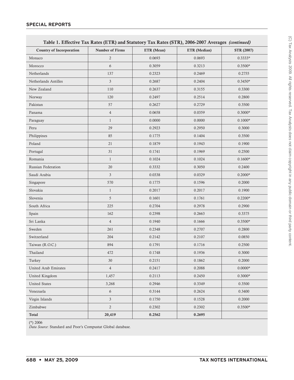|                                 | Table 1. Effective Tax Rates (ETR) and Statutory Tax Rates (STR), 2006-2007 Averages (continued) |            |              |                   |
|---------------------------------|--------------------------------------------------------------------------------------------------|------------|--------------|-------------------|
| <b>Country of Incorporation</b> | <b>Number of Firms</b>                                                                           | ETR (Mean) | ETR (Median) | <b>STR (2007)</b> |
| Monaco                          | $\sqrt{2}$                                                                                       | 0.0693     | 0.0693       | $0.3333*$         |
| Morocco                         | 6                                                                                                | 0.3059     | 0.3213       | $0.3500*$         |
| Netherlands                     | 137                                                                                              | 0.2323     | 0.2469       | 0.2755            |
| Netherlands Antilles            | $\ensuremath{\mathfrak{Z}}$                                                                      | 0.2687     | 0.2404       | $0.3450*$         |
| New Zealand                     | 110                                                                                              | 0.2637     | 0.3155       | 0.3300            |
| Norway                          | 120                                                                                              | 0.2497     | 0.2514       | 0.2800            |
| Pakistan                        | 57                                                                                               | 0.2627     | 0.2729       | 0.3500            |
| Panama                          | $\overline{4}$                                                                                   | 0.0658     | 0.0359       | $0.3000*$         |
| Paraguay                        | $\mathbf{1}$                                                                                     | 0.0000     | 0.0000       | $0.1000*$         |
| Peru                            | 29                                                                                               | 0.2923     | 0.2950       | 0.3000            |
| Philippines                     | 85                                                                                               | 0.1775     | 0.1404       | 0.3500            |
| Poland                          | 21                                                                                               | 0.1879     | 0.1943       | 0.1900            |
| Portugal                        | 31                                                                                               | 0.1741     | 0.1969       | 0.2500            |
| Romania                         | $\mathbf{1}$                                                                                     | 0.1024     | 0.1024       | $0.1600*$         |
| Russian Federation              | 20                                                                                               | 0.3332     | 0.3050       | 0.2400            |
| Saudi Arabia                    | $\overline{3}$                                                                                   | 0.0338     | 0.0329       | $0.2000*$         |
| Singapore                       | 570                                                                                              | 0.1775     | 0.1596       | 0.2000            |
| Slovakia                        | $\mathbf{1}$                                                                                     | 0.2017     | 0.2017       | 0.1900            |
| Slovenia                        | 5                                                                                                | 0.1601     | 0.1761       | $0.2200*$         |
| South Africa                    | 225                                                                                              | 0.2704     | 0.2978       | 0.2900            |
| Spain                           | 162                                                                                              | 0.2398     | 0.2663       | 0.3375            |
| Sri Lanka                       | $\overline{4}$                                                                                   | 0.1940     | 0.1666       | $0.3500*$         |
| Sweden                          | 261                                                                                              | 0.2348     | 0.2707       | 0.2800            |
| Switzerland                     | 204                                                                                              | 0.2142     | 0.2107       | 0.0850            |
| Taiwan (R.O.C.)                 | 894                                                                                              | 0.1791     | 0.1716       | 0.2500            |
| Thailand                        | 472                                                                                              | 0.1748     | 0.1936       | 0.3000            |
| Turkey                          | 30                                                                                               | 0.2151     | 0.1862       | 0.2000            |
| United Arab Emirates            | $\overline{4}$                                                                                   | 0.2417     | 0.2088       | $0.0000*$         |
| United Kingdom                  | 1,457                                                                                            | 0.2113     | 0.2450       | $0.3000*$         |
| <b>United States</b>            | 3,268                                                                                            | 0.2946     | 0.3349       | 0.3500            |
| Venezuela                       | $\boldsymbol{6}$                                                                                 | 0.3144     | 0.2624       | 0.3400            |
| Virgin Islands                  | $\mathfrak{Z}$                                                                                   | 0.1750     | 0.1528       | 0.2000            |
| Zimbabwe                        | $\overline{2}$                                                                                   | 0.2302     | 0.2302       | $0.3500*$         |
| <b>Total</b>                    | 20,419                                                                                           | 0.2562     | 0.2695       |                   |

(\*) 2006

*Data Source*: Standard and Poor's Compustat Global database.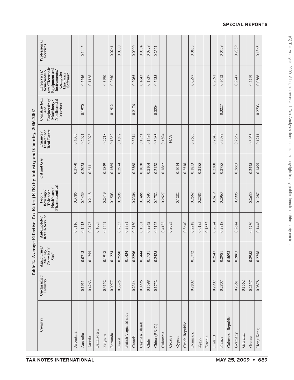|                                                                               | Professional<br>Services                                                                                                                                                                                      |           | 0.1445    |         |            |         | 0.0761  | 0.0000 |                        | 0.0000 | 0.0804         | 0.0879 | 0.2521         |          |         |        |                | 0.0453  |        |         |         | 0.0459 |                   | 0.2389  |           |        | 0.1365    |
|-------------------------------------------------------------------------------|---------------------------------------------------------------------------------------------------------------------------------------------------------------------------------------------------------------|-----------|-----------|---------|------------|---------|---------|--------|------------------------|--------|----------------|--------|----------------|----------|---------|--------|----------------|---------|--------|---------|---------|--------|-------------------|---------|-----------|--------|-----------|
|                                                                               | tors/Electronic<br>Equipment and<br>Semiconduc-<br>Instruments/<br>IT Services/<br>Computer<br>Hardware,<br>Software                                                                                          |           | 0.2246    | 0.1128  |            | 0.3590  | 0.2850  |        |                        | 0.2965 | 0.1643         | 0.1937 | 0.2435         |          |         |        |                | 0.0297  |        |         | 0.2391  | 0.3612 |                   | 0.2747  |           | 0.4719 | 0.0566    |
|                                                                               | Construction<br>${\rm Engineering}/{{\rm Maximumy}}/{{\rm Nonfinary}}/{{\rm Nonfinarial}}$<br>Services<br>and                                                                                                 |           | 0.1970    |         |            |         | 0.1912  |        |                        | 0.2176 |                |        | 0.3204         |          |         |        |                |         |        |         |         | 0.3227 |                   |         |           |        | 0.2703    |
| Table 2. Average Effective Tax Rates (ETR) by Industry and Country, 2006-2007 | <b>Real Estate</b><br>$\frac{\text{Finance}}{\text{Insurface}}/$                                                                                                                                              | 0.4005    | 0.2091    | 0.3073  |            | 0.2718  | 0.1362  | 0.1897 |                        | 0.3314 | 0.1751         | 0.1484 | 0.3083         | 0.1894   | N/A     |        |                | 0.2663  |        |         | 0.2848  | 0.3089 |                   | 0.2657  |           | 0.3063 | 0.1211    |
|                                                                               | Oil and Gas                                                                                                                                                                                                   | 0.3770    | 0.2025    | 0.2111  |            | 0.1849  | 0.1565  | 0.2974 |                        | 0.2368 | 0.1030         | 0.2104 | 0.2128         | 0.1862   |         | 0.1014 | 0.2518         | 0.1833  | 0.2185 |         | 0.2300  | 0.2785 |                   | 0.2663  |           | 0.2445 | 0.1495    |
|                                                                               | Pharmaceutical<br>Healthcare/<br>${\rm Food/}$ ${\rm Beverage/}$<br>Tobacco/                                                                                                                                  | 0.3786    | 0.1439    | 0.2118  |            | 0.2419  | 0.1503  | 0.2595 |                        | 0.2306 | 0.1485         | 0.1595 | 0.1782         | 0.2627   |         | 0.1282 |                | 0.2562  | 0.2385 |         | 0.2419  | 0.2960 |                   | 0.2996  |           | 0.2630 | 0.1287    |
|                                                                               | $\frac{\text{Automobile}}{\text{Retail/Service}}$                                                                                                                                                             | 0.3116    | 0.1413    | 0.2173  | 0.1005     | 0.2441  |         | 0.2853 | 0.2381                 | 0.2130 | 0.1361         | 0.2242 | 0.2122         | 0.4132   | 0.2073  |        | 0.3640         | 0.2218  | 0.0195 | 0.1682  | 0.2024  | 0.2918 |                   | 0.2644  |           | 0.2730 | 0.1448    |
|                                                                               | $\begin{array}{l} {\bf {\cal A}} {\bf {\cal g}}{\bf {\cal f}}{\bf {\rm curl}\bf {\rm tur}\bf {\cal e'}}\\ {\bf {\cal M}ining/}\\ {\bf {\cal C}hemical/}\\ {\bf {\cal S}\bf {\rm t}\bf {\rm ecl}} \end{array}$ |           | 0.0713    | 0.1755  |            | 0.1918  | 0.1224  | 0.2590 | 0.1434                 | 0.2296 | 0.1444         | 0.1731 | 0.2425         |          |         |        |                | 0.1772  |        |         | 0.2547  | 0.2981 | 0.5093            | 0.2863  |           | 0.2958 | 0.2758    |
|                                                                               | Unclassified<br>Industry                                                                                                                                                                                      |           | 0.1911    | 0.4263  |            | 0.3152  | 0.0977  | 0.3325 |                        | 0.2314 | 0.0996         | 0.1598 | 0.1752         |          |         |        |                | 0.2802  |        |         | 0.2907  | 0.2807 |                   | 0.2381  | 0.1562    | 0.2157 | 0.0878    |
|                                                                               | Country                                                                                                                                                                                                       | Argentina | Australia | Austria | Bangladesh | Belgium | Bermuda | Brazil | British Virgin Islands | Canada | Cayman Islands | Chile  | China (P.R.C.) | Colombia | Croatia | Cyprus | Czech Republic | Denmark | Egypt  | Estonia | Finland | France | Gabonese Republic | Germany | Gibraltar | Greece | Hong Kong |

#### **SPECIAL REPORTS**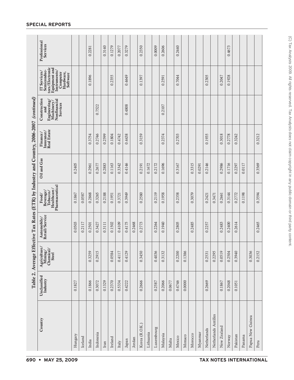|                      |                          |                                                                                                       | Table 2. Average Effective Tax Rates (ETR) by Industry and Country, 2006-2007 (continued) |                                                                                   |             |                                                       |                                                                               |                                                                                                                             |                          |
|----------------------|--------------------------|-------------------------------------------------------------------------------------------------------|-------------------------------------------------------------------------------------------|-----------------------------------------------------------------------------------|-------------|-------------------------------------------------------|-------------------------------------------------------------------------------|-----------------------------------------------------------------------------------------------------------------------------|--------------------------|
| Country              | Unclassified<br>Industry | $\begin{array}{c}\text{Agriculture/} \\\text{Mining/} \\\text{Chemical/} \end{array}$<br><b>Steel</b> | Automobile/<br>Retail/Service                                                             | Pharmaceutical<br>Healthcare/<br>$\frac{\mbox{Beverage}}{\mbox{Iobaco}}$<br>Food/ | Oil and Gas | $\frac{\rm{Insurance}}{\rm{Real~Estate}}$<br>Finance/ | Construction<br>Nonfinancial<br>Engineering/<br>Machinery.<br>Services<br>and | $\frac{tors/Electronic}{Equipment}$ and<br>Semiconduc-<br>Instruments/<br>IT Services/<br>Computer<br>Hardware,<br>Software | Professional<br>Services |
| Hungary              | 0.1827                   |                                                                                                       | 0.0503                                                                                    | 0.1867                                                                            | 0.2405      |                                                       |                                                                               |                                                                                                                             |                          |
| Iceland              |                          |                                                                                                       | 0.2117                                                                                    | 0.0587                                                                            |             |                                                       |                                                                               |                                                                                                                             |                          |
| India                | 0.1866                   | 0.3259                                                                                                | 0.2501                                                                                    | 0.2868                                                                            | 0.2961      | 0.3754                                                |                                                                               | 0.1896                                                                                                                      | 0.2281                   |
| Indonesia            | 0.3072                   | 0.2915                                                                                                | 0.3427                                                                                    | 0.3265                                                                            | 0.2677      | 0.2746                                                | 0.7522                                                                        |                                                                                                                             |                          |
| Iran                 | 0.1329                   |                                                                                                       | 0.3111                                                                                    | 0.2188                                                                            | 0.2883      | 0.2599                                                |                                                                               |                                                                                                                             | 0.3140                   |
| Ireland              | 0.2370                   | 0.0584                                                                                                | 0.1502                                                                                    | 0.1951                                                                            | 0.1163      | 0.1804                                                |                                                                               | 0.2355                                                                                                                      | 0.1279                   |
| Italy                | 0.5334                   | 0.4117                                                                                                | 0.4109                                                                                    | 0.3721                                                                            | 0.3342      | 0.4742                                                |                                                                               |                                                                                                                             | 0.2077                   |
| Japan                | 0.4222                   | 0.4129                                                                                                | 0.4175                                                                                    | 0.3949                                                                            | 0.4146      | 0.4438                                                | 0.4808                                                                        | 0.4649                                                                                                                      | 0.3279                   |
| Jordan               |                          |                                                                                                       | 0.2468                                                                                    |                                                                                   |             |                                                       |                                                                               |                                                                                                                             |                          |
| Korea (R.O.K.)       | 0.2666                   | 0.3450                                                                                                | 0.2773                                                                                    | 0.2580                                                                            | 0.2191      | 0.3159                                                |                                                                               | 0.1397                                                                                                                      | 0.2350                   |
| Lithuania            |                          |                                                                                                       |                                                                                           |                                                                                   | 0.1672      |                                                       |                                                                               |                                                                                                                             |                          |
| Luxembourg           | 0.2587                   | 0.4036                                                                                                | 0.2264                                                                                    | 0.2119                                                                            | 0.2172      |                                                       |                                                                               |                                                                                                                             | 0.0009                   |
| Malaysia             | 0.2066                   | 0.3132                                                                                                | 0.1940                                                                                    | 0.1958                                                                            | 0.1696      | 0.2374                                                | 0.2107                                                                        | 0.2591                                                                                                                      | 0.2606                   |
| Malta                | 0.0677                   |                                                                                                       |                                                                                           |                                                                                   |             |                                                       |                                                                               |                                                                                                                             |                          |
| Mexico               | 0.4746                   | 0.2200                                                                                                | 0.2805                                                                                    | 0.2358                                                                            | 0.3167      | 0.2703                                                |                                                                               | 0.7044                                                                                                                      | 0.2440                   |
| Monaco               | 0.0000                   | 0.1386                                                                                                |                                                                                           |                                                                                   |             |                                                       |                                                                               |                                                                                                                             |                          |
| Morocco              |                          |                                                                                                       | 0.2485                                                                                    | 0.3079                                                                            | 0.3315      |                                                       |                                                                               |                                                                                                                             |                          |
| Myanmar              |                          |                                                                                                       |                                                                                           |                                                                                   | 0.0291      |                                                       |                                                                               |                                                                                                                             |                          |
| Netherlands          | 0.2669                   | 0.2531                                                                                                | 0.2257                                                                                    | 0.2421                                                                            | 0.2146      | 0.1935                                                |                                                                               | 0.2305                                                                                                                      |                          |
| Netherlands Antilles |                          | 0.2295                                                                                                |                                                                                           | 0.3471                                                                            |             |                                                       |                                                                               |                                                                                                                             |                          |
| New Zealand          | 0.1867                   | 0.0519                                                                                                | 0.2483                                                                                    | 0.2661                                                                            | 0.2986      | 0.3018                                                |                                                                               | 0.2047                                                                                                                      |                          |
| Norway               | 0.2048                   | 0.2504                                                                                                | 0.2400                                                                                    | 0.3144                                                                            | 0.1716      | 0.2778                                                |                                                                               | 0.1928                                                                                                                      | 0.4673                   |
| Pakistan             | 0.1051                   | 0.3940                                                                                                | 0.2614                                                                                    | 0.2772                                                                            | 0.2297      | 0.3242                                                |                                                                               |                                                                                                                             |                          |
| Panama               |                          |                                                                                                       |                                                                                           | 0.1198                                                                            | 0.0117      |                                                       |                                                                               |                                                                                                                             |                          |
| Papua New Guinea     |                          | 0.3036                                                                                                |                                                                                           |                                                                                   |             |                                                       |                                                                               |                                                                                                                             |                          |
| Peru                 |                          | 0.2152                                                                                                | 0.2465                                                                                    | 0.3594                                                                            | 0.3569      | 0.3212                                                |                                                                               |                                                                                                                             |                          |

#### **SPECIAL REPORTS**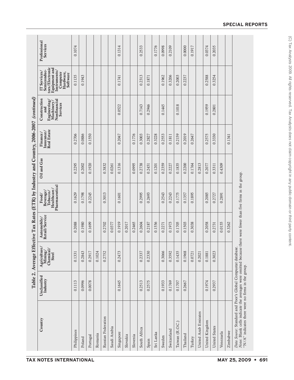| Country                                                                                                                                                                     | Unclassified<br>Industry | Agriculture/<br>Mining/<br>Chemical/<br><b>Steel</b> | Automobile/<br>Retail/Service | Pharmaceutical<br>Healthcare/<br>Beverage/<br>Tobacco/<br>Food/ | Oil and Gas | $\frac{\mathrm{Insurance}}{\mathrm{Real\,Estate}}$<br>Finance/ | Construction<br>Nonfinancial<br>${\rm Engineering}/{{\rm Maximum}}$<br>Services | tors/Electronic<br>Equipment and<br>Semiconduc-<br>Instruments/<br>IT Services/<br>Computer<br>Hardware,<br>Software | Professional<br>Services |
|-----------------------------------------------------------------------------------------------------------------------------------------------------------------------------|--------------------------|------------------------------------------------------|-------------------------------|-----------------------------------------------------------------|-------------|----------------------------------------------------------------|---------------------------------------------------------------------------------|----------------------------------------------------------------------------------------------------------------------|--------------------------|
| Philippines                                                                                                                                                                 | 0.1113                   | 0.1331                                               | 0.2088                        | 0.1629                                                          | 0.2295      | 0.2706                                                         |                                                                                 | 0.1135                                                                                                               | 0.1074                   |
| Poland                                                                                                                                                                      | 0.0996                   | 0.2843                                               | 0.1980                        | 0.1798                                                          | 0.2002      | 0.0886                                                         |                                                                                 | 0.1943                                                                                                               |                          |
| Portugal                                                                                                                                                                    | 0.0078                   | 0.2917                                               | 0.1699                        | 0.2245                                                          | 0.1920      | 0.1550                                                         |                                                                                 |                                                                                                                      |                          |
| Romania                                                                                                                                                                     |                          | 0.1024                                               |                               |                                                                 |             |                                                                |                                                                                 |                                                                                                                      |                          |
| Russian Federation                                                                                                                                                          |                          | 0.2752                                               | 0.2702                        | 0.3013                                                          | 0.3832      |                                                                |                                                                                 |                                                                                                                      |                          |
| Saudi Arabia                                                                                                                                                                |                          |                                                      | 0.0377                        |                                                                 | 0.0261      |                                                                |                                                                                 |                                                                                                                      |                          |
| Singapore                                                                                                                                                                   | 0.1645                   | 0.2473                                               | 0.1919                        | 0.1601                                                          | 0.1316      | 0.2047                                                         | 0.0522                                                                          | 0.1741                                                                                                               | 0.1314                   |
| Slovakia                                                                                                                                                                    |                          |                                                      | 0.2017                        |                                                                 |             |                                                                |                                                                                 |                                                                                                                      |                          |
| Slovenia                                                                                                                                                                    |                          |                                                      | 0.2465                        |                                                                 | 0.0995      | 0.1776                                                         |                                                                                 |                                                                                                                      |                          |
| South Africa                                                                                                                                                                | 0.2513                   | 0.2337                                               | 0.2604                        | 0.2995                                                          | 0.2738      | 0.3003                                                         | 0.7143                                                                          | 0.2313                                                                                                               | 0.2533                   |
| Spain                                                                                                                                                                       | 0.2575                   | 0.2330                                               | 0.2187                        | 0.2693                                                          | 0.2451      | 0.2827                                                         | 0.2946                                                                          | 0.1871                                                                                                               |                          |
| Sri Lanka                                                                                                                                                                   |                          |                                                      | 0.1556                        |                                                                 | 0.1201      | 0.3228                                                         |                                                                                 |                                                                                                                      | 0.1776                   |
| Sweden                                                                                                                                                                      | 0.1933                   | 0.3066                                               | 0.2271                        | 0.2543                                                          | 0.2359      | 0.2553                                                         | 0.1445                                                                          | 0.1962                                                                                                               | 0.0998                   |
| Switzerland                                                                                                                                                                 | 0.1769                   | 0.3592                                               | 0.1973                        | 0.2243                                                          | 0.2227      | 0.1811                                                         |                                                                                 | 0.3206                                                                                                               | 0.2109                   |
| Taiwan (R.O.C.)                                                                                                                                                             | 0.1707                   | 0.1435                                               | 0.1705                        | 0.1775                                                          | 0.1835      | 0.2159                                                         | 0.1018                                                                          | 0.2003                                                                                                               |                          |
| Thailand                                                                                                                                                                    | 0.2667                   | 0.1968                                               | 0.1503                        | 0.1357                                                          | 0.2200      | 0.2019                                                         |                                                                                 | 0.2237                                                                                                               | 0.0000                   |
| Turkey                                                                                                                                                                      |                          | 0.0721                                               | 0.3038                        | 0.1895                                                          | 0.1764      | 0.2647                                                         |                                                                                 |                                                                                                                      | 0.1917                   |
| United Arab Emirates                                                                                                                                                        |                          | 0.2021                                               |                               |                                                                 | 0.2813      |                                                                |                                                                                 |                                                                                                                      |                          |
| United Kingdom                                                                                                                                                              | 0.1974                   | 0.1881                                               | 0.2058                        | 0.2085                                                          | 0.2077      | 0.2575                                                         | 0.1959                                                                          | 0.2588                                                                                                               | 0.0374                   |
| United States                                                                                                                                                               | 0.2937                   | 0.3023                                               | 0.2731                        | 0.2727                                                          | 0.3311      | 0.3330                                                         | 0.2801                                                                          | 0.3254                                                                                                               | 0.2035                   |
| Venezuela                                                                                                                                                                   |                          |                                                      | 0.0155                        | 0.2891                                                          | 0.4309      |                                                                |                                                                                 |                                                                                                                      |                          |
| Zimbabwe                                                                                                                                                                    |                          |                                                      | 0.3262                        |                                                                 |             | 0.1341                                                         |                                                                                 |                                                                                                                      |                          |
| Notes: Blank cells indicate the averages were omitted because there were fewer than five firms in the group.<br>Data Source: Standard and Poor's Global Compustat database. |                          |                                                      |                               |                                                                 |             |                                                                |                                                                                 |                                                                                                                      |                          |

 $\lq\lq N/A^{\prime}$  indicates there were no firms in the group. " $N/A$ " indicates there were no firms in the group.

#### **SPECIAL REPORTS**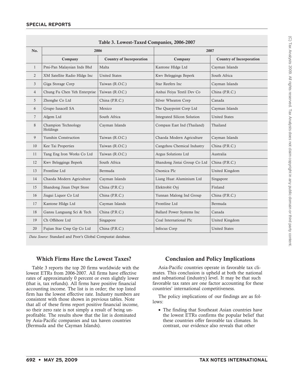|                |                                 | Table 5. Lowest-Taxed Companies, 2000-2007 |                                    |                                 |  |  |  |  |
|----------------|---------------------------------|--------------------------------------------|------------------------------------|---------------------------------|--|--|--|--|
| No.            |                                 | 2006                                       |                                    | 2007                            |  |  |  |  |
|                | Company                         | <b>Country of Incorporation</b>            | Company                            | <b>Country of Incorporation</b> |  |  |  |  |
| 1              | Pmi-Pan Malaysian Inds Bhd      | Malta                                      | Kantone Hldgs Ltd                  | Cayman Islands                  |  |  |  |  |
| 2              | XM Satellite Radio Hldgs Inc    | <b>United States</b>                       | Kwv Beleggings Beperk              | South Africa                    |  |  |  |  |
| 3              | Giga Storage Corp               | Taiwan (R.O.C.)                            | Star Reefers Inc                   | Cayman Islands                  |  |  |  |  |
| 4              | Chung Fu Chen Yeh Enterprise    | Taiwan (R.O.C.)                            | Anhui Feiya Textil Dev Co          | China (P.R.C.)                  |  |  |  |  |
| 5              | Zhonghe Co Ltd                  | China (P.R.C.)                             | Silver Wheaton Corp                | Canada                          |  |  |  |  |
| 6              | Grupo Iusacell SA               | Mexico                                     | The Quaypoint Corp Ltd             | Cayman Islands                  |  |  |  |  |
| $\overline{7}$ | Afgem Ltd                       | South Africa                               | <b>Integrated Silicon Solution</b> | <b>United States</b>            |  |  |  |  |
| 8              | Champion Technology<br>Holdings | Cayman Islands                             | Compass East Ind (Thailand)        | Thailand                        |  |  |  |  |
| 9              | Yunshin Construction            | Taiwan (R.O.C.)                            | Chaoda Modern Agriculture          | Cayman Islands                  |  |  |  |  |
| 10             | Kee Tai Properties              | Taiwan (R.O.C.)                            | Cangzhou Chemical Industry         | China (P.R.C.)                  |  |  |  |  |
| 11             | Tang Eng Iron Works Co Ltd      | Taiwan (R.O.C.)                            | Argus Solutions Ltd                | Australia                       |  |  |  |  |
| 12             | Kwv Beleggings Beperk           | South Africa                               | Shandong Jintai Group Co Ltd       | China (P.R.C.)                  |  |  |  |  |
| 13             | Frontline Ltd                   | Bermuda                                    | Oxonica Plc                        | United Kingdom                  |  |  |  |  |
| 14             | Chaoda Modern Agriculture       | Cayman Islands                             | Liang Huat Aluminium Ltd           | Singapore                       |  |  |  |  |
| 15             | Shandong Jinan Dept Store       | China (P.R.C.)                             | Elektrobit Oyj                     | Finland                         |  |  |  |  |
| 16             | Jiugui Liquor Co Ltd            | China (P.R.C.)                             | Yunnan Malong Ind Group            | China (P.R.C.)                  |  |  |  |  |
| 17             | Kantone Hldgs Ltd               | Cayman Islands                             | Frontline Ltd                      | Bermuda                         |  |  |  |  |
| 18             | Gansu Languang Sci & Tech       | China (P.R.C.)                             | Ballard Power Systems Inc          | Canada                          |  |  |  |  |
| 19             | Ch Offshore Ltd                 | Singapore                                  | Coal International Plc             | United Kingdom                  |  |  |  |  |
| 20             | Fujian Star Cmp Gp Co Ltd       | China (P.R.C.)                             | Infocus Corp                       | <b>United States</b>            |  |  |  |  |

**Table 3. Lowest-Taxed Companies, 2006-2007**

*Data Source*: Standard and Poor's Global Compustat database.

#### **Which Firms Have the Lowest Taxes?**

Table 3 reports the top 20 firms worldwide with the lowest ETRs from 2006-2007. All firms have effective rates of approximately 0 percent or even slightly lower (that is, tax refunds). All firms have positive financial accounting income. The list is in order; the top listed firm has the lowest effective rate. Industry numbers are consistent with those shown in previous tables. Note that all of these firms report positive financial income, so their zero rate is not simply a result of being unprofitable. The results show that the list is dominated by Asia-Pacific companies and tax haven countries (Bermuda and the Cayman Islands).

#### **Conclusion and Policy Implications**

Asia-Pacific countries operate in favorable tax climates. This conclusion is upheld at both the national and subnational (industry) level. It may be that such favorable tax rates are one factor accounting for these countries' international competitiveness.

The policy implications of our findings are as follows:

• The finding that Southeast Asian countries have the lowest ETRs confirms the popular belief that these countries offer favorable tax climates. In contrast, our evidence also reveals that other